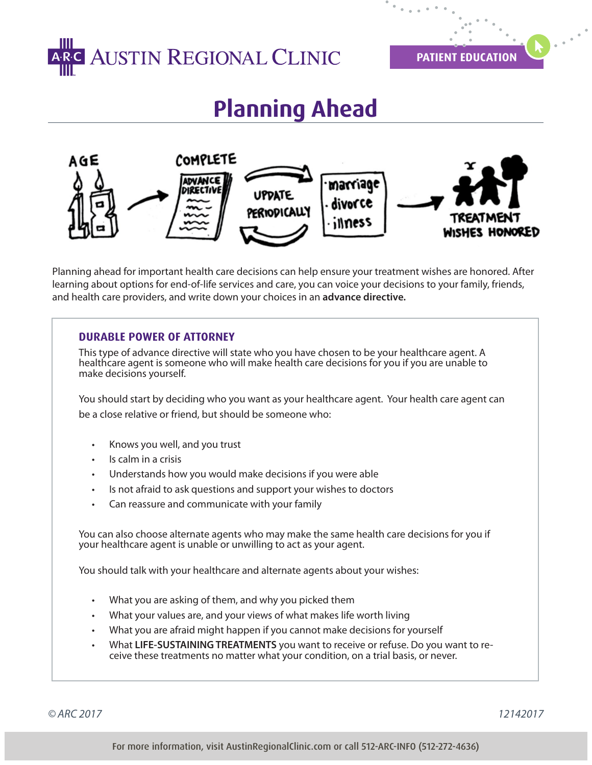

**PATIENT EDUCATION**

## **Planning Ahead**



Planning ahead for important health care decisions can help ensure your treatment wishes are honored. After learning about options for end-of-life services and care, you can voice your decisions to your family, friends, and health care providers, and write down your choices in an **advance directive.**

## **DURABLE POWER OF ATTORNEY**

This type of advance directive will state who you have chosen to be your healthcare agent. A healthcare agent is someone who will make health care decisions for you if you are unable to make decisions yourself.

You should start by deciding who you want as your healthcare agent. Your health care agent can be a close relative or friend, but should be someone who:

- Knows you well, and you trust
- Is calm in a crisis
- Understands how you would make decisions if you were able
- Is not afraid to ask questions and support your wishes to doctors
- Can reassure and communicate with your family

You can also choose alternate agents who may make the same health care decisions for you if your healthcare agent is unable or unwilling to act as your agent.

You should talk with your healthcare and alternate agents about your wishes:

- What you are asking of them, and why you picked them
- What your values are, and your views of what makes life worth living
- What you are afraid might happen if you cannot make decisions for yourself
- What **LIFE-SUSTAINING TREATMENTS** you want to receive or refuse. Do you want to receive these treatments no matter what your condition, on a trial basis, or never.

*© ARC 2017 12142017*